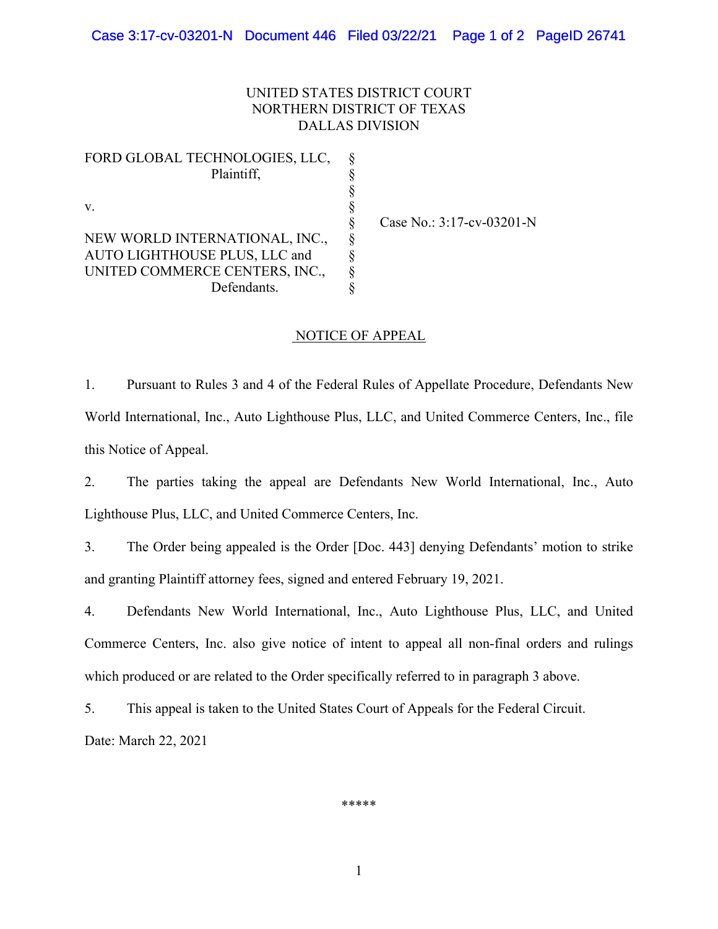## UNITED STATES DISTRICT COURT NORTHERN DISTRICT OF TEXAS DALLAS DIVISION

FORD GLOBAL TECHNOLOGIES, LLC, Plaintiff, \$<br>\$<br>\$<br>\$<br>\$<br>\$<br>\$ v.  $\S$ NEW WORLD INTERNATIONAL, INC., AUTO LIGHTHOUSE PLUS, LLC and UNITED COMMERCE CENTERS, INC., Defendants.

§ Case No.: 3:17-cv-03201-N

## NOTICE OF APPEAL

1. Pursuant to Rules 3 and 4 of the Federal Rules of Appellate Procedure, Defendants New World International, Inc., Auto Lighthouse Plus, LLC, and United Commerce Centers, Inc., file this Notice of Appeal.

2. The parties taking the appeal are Defendants New World International, Inc., Auto Lighthouse Plus, LLC, and United Commerce Centers, Inc.

3. The Order being appealed is the Order [Doc. 443] denying Defendants' motion to strike and granting Plaintiff attorney fees, signed and entered February 19, 2021.

4. Defendants New World International, Inc., Auto Lighthouse Plus, LLC, and United Commerce Centers, Inc. also give notice of intent to appeal all non-final orders and rulings which produced or are related to the Order specifically referred to in paragraph 3 above.

5. This appeal is taken to the United States Court of Appeals for the Federal Circuit.

Date: March 22, 2021

\*\*\*\*\*